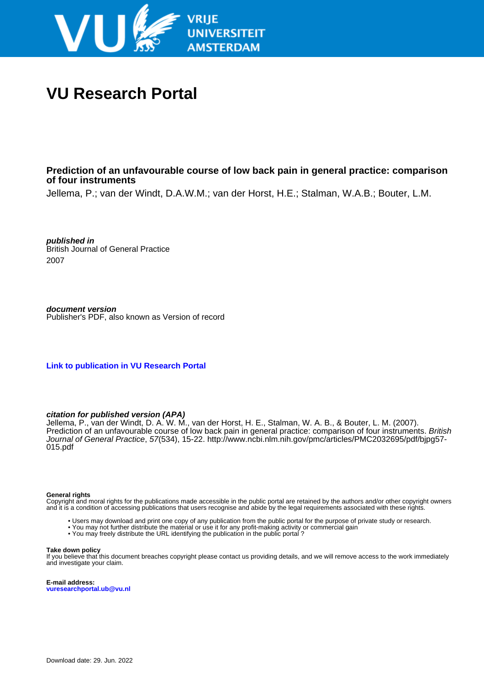

# **VU Research Portal**

# **Prediction of an unfavourable course of low back pain in general practice: comparison of four instruments**

Jellema, P.; van der Windt, D.A.W.M.; van der Horst, H.E.; Stalman, W.A.B.; Bouter, L.M.

**published in** British Journal of General Practice 2007

**document version** Publisher's PDF, also known as Version of record

**[Link to publication in VU Research Portal](https://research.vu.nl/en/publications/d7a4d4da-c317-44f5-91c1-bd9c542a459a)**

# **citation for published version (APA)**

Jellema, P., van der Windt, D. A. W. M., van der Horst, H. E., Stalman, W. A. B., & Bouter, L. M. (2007). Prediction of an unfavourable course of low back pain in general practice: comparison of four instruments. British Journal of General Practice, 57(534), 15-22. [http://www.ncbi.nlm.nih.gov/pmc/articles/PMC2032695/pdf/bjpg57-](http://www.ncbi.nlm.nih.gov/pmc/articles/PMC2032695/pdf/bjpg57-015.pdf) [015.pdf](http://www.ncbi.nlm.nih.gov/pmc/articles/PMC2032695/pdf/bjpg57-015.pdf)

#### **General rights**

Copyright and moral rights for the publications made accessible in the public portal are retained by the authors and/or other copyright owners and it is a condition of accessing publications that users recognise and abide by the legal requirements associated with these rights.

- Users may download and print one copy of any publication from the public portal for the purpose of private study or research.
- You may not further distribute the material or use it for any profit-making activity or commercial gain
- You may freely distribute the URL identifying the publication in the public portal ?

#### **Take down policy**

If you believe that this document breaches copyright please contact us providing details, and we will remove access to the work immediately and investigate your claim.

**E-mail address: vuresearchportal.ub@vu.nl**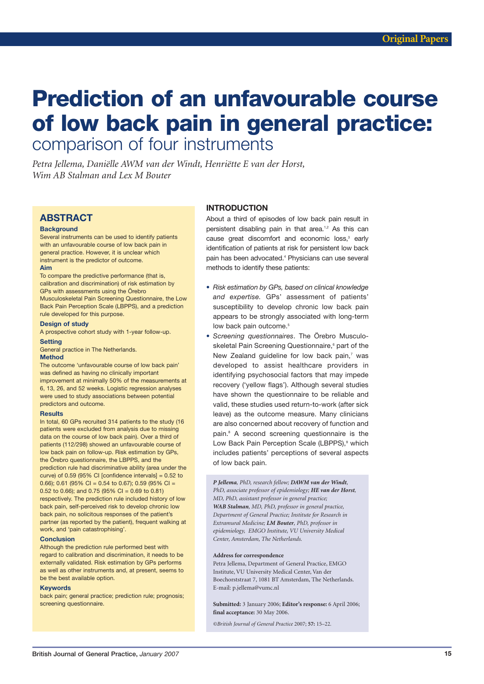# **Prediction of an unfavourable course** of low back pain in general practice: comparison of four instruments

Petra Jellema, Daniëlle AWM van der Windt, Henriëtte E van der Horst, Wim AB Stalman and Lex M Bouter

# **ABSTRACT**

#### **Background**

Several instruments can be used to identify patients with an unfavourable course of low back pain in general practice. However, it is unclear which instrument is the predictor of outcome.

#### Aim

To compare the predictive performance (that is, calibration and discrimination) of risk estimation by GPs with assessments using the Örebro Musculoskeletal Pain Screening Questionnaire, the Low Back Pain Perception Scale (LBPPS), and a prediction rule developed for this purpose.

#### **Design of study**

A prospective cohort study with 1-year follow-up.

## **Setting** General practice in The Netherlands.

#### **Method**

The outcome 'unfavourable course of low back pain' was defined as having no clinically important improvement at minimally 50% of the measurements at 6, 13, 26, and 52 weeks. Logistic regression analyses were used to study associations between potential predictors and outcome.

#### **Results**

In total, 60 GPs recruited 314 patients to the study (16 patients were excluded from analysis due to missing data on the course of low back pain). Over a third of patients (112/298) showed an unfavourable course of low back pain on follow-up. Risk estimation by GPs, the Örebro questionnaire, the LBPPS, and the prediction rule had discriminative ability (area under the curve) of 0.59 (95% CI [confidence intervals] =  $0.52$  to 0.66); 0.61 (95% CI = 0.54 to 0.67); 0.59 (95% CI = 0.52 to 0.66); and 0.75 (95% CI = 0.69 to 0.81) respectively. The prediction rule included history of low back pain, self-perceived risk to develop chronic low back pain, no solicitous responses of the patient's partner (as reported by the patient), frequent walking at work, and 'pain catastrophising'.

#### **Conclusion**

Although the prediction rule performed best with regard to calibration and discrimination, it needs to be externally validated. Risk estimation by GPs performs as well as other instruments and, at present, seems to be the best available option.

#### **Keywords**

back pain; general practice; prediction rule; prognosis; screening questionnaire.

# **INTRODUCTION**

About a third of episodes of low back pain result in persistent disabling pain in that area.<sup>1,2</sup> As this can cause great discomfort and economic loss,<sup>3</sup> early identification of patients at risk for persistent low back pain has been advocated.<sup>4</sup> Physicians can use several methods to identify these patients:

- Risk estimation by GPs, based on clinical knowledge and expertise. GPs' assessment of patients' susceptibility to develop chronic low back pain appears to be strongly associated with long-term low back pain outcome.<sup>5</sup>
- Screening questionnaires. The Örebro Musculoskeletal Pain Screening Questionnaire,<sup>6</sup> part of the New Zealand quideline for low back pain,7 was developed to assist healthcare providers in identifying psychosocial factors that may impede recovery ('yellow flags'). Although several studies have shown the questionnaire to be reliable and valid, these studies used return-to-work (after sick leave) as the outcome measure. Many clinicians are also concerned about recovery of function and pain.<sup>8</sup> A second screening questionnaire is the Low Back Pain Perception Scale (LBPPS).<sup>9</sup> which includes patients' perceptions of several aspects of low back pain.

P Jellema, PhD, research fellow; DAWM van der Windt, PhD, associate professor of epidemiology; HE van der Horst, MD, PhD, assistant professor in general practice; WAB Stalman, MD, PhD, professor in general practice, Department of General Practice; Institute for Research in Extramural Medicine; LM Bouter, PhD, professor in epidemiology, EMGO Institute, VU University Medical Center, Amsterdam, The Netherlands.

#### Address for correspondence

Petra Jellema, Department of General Practice, EMGO Institute, VU University Medical Center, Van der Boechorststraat 7, 1081 BT Amsterdam, The Netherlands. E-mail: p.jellema@vumc.nl

Submitted: 3 January 2006; Editor's response: 6 April 2006; final acceptance: 30 May 2006.

©British Journal of General Practice 2007; 57: 15-22.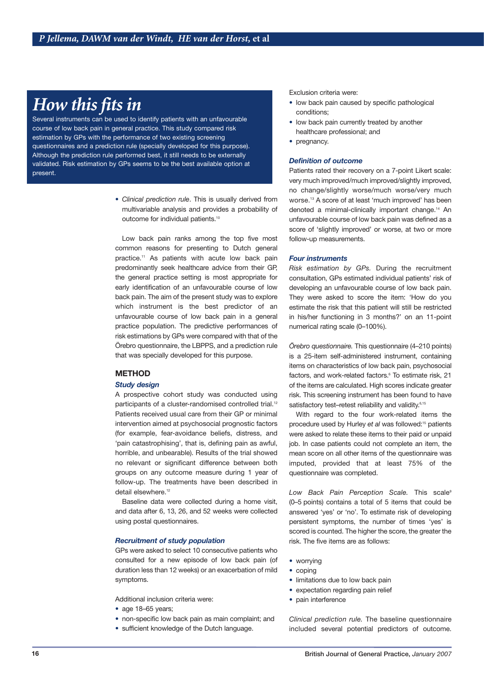# How this fits in

Several instruments can be used to identify patients with an unfavourable course of low back pain in general practice. This study compared risk estimation by GPs with the performance of two existing screening questionnaires and a prediction rule (specially developed for this purpose). Although the prediction rule performed best, it still needs to be externally validated. Risk estimation by GPs seems to be the best available option at present.

> • Clinical prediction rule. This is usually derived from multivariable analysis and provides a probability of outcome for individual patients.<sup>10</sup>

> Low back pain ranks among the top five most common reasons for presenting to Dutch general practice.<sup>11</sup> As patients with acute low back pain predominantly seek healthcare advice from their GP, the general practice setting is most appropriate for early identification of an unfavourable course of low back pain. The aim of the present study was to explore which instrument is the best predictor of an unfavourable course of low back pain in a general practice population. The predictive performances of risk estimations by GPs were compared with that of the Örebro questionnaire, the LBPPS, and a prediction rule that was specially developed for this purpose.

# **METHOD**

# **Study design**

A prospective cohort study was conducted using participants of a cluster-randomised controlled trial.<sup>12</sup> Patients received usual care from their GP or minimal intervention aimed at psychosocial prognostic factors (for example, fear-avoidance beliefs, distress, and 'pain catastrophising', that is, defining pain as awful, horrible, and unbearable). Results of the trial showed no relevant or significant difference between both groups on any outcome measure during 1 year of follow-up. The treatments have been described in detail elsewhere <sup>12</sup>

Baseline data were collected during a home visit, and data after 6, 13, 26, and 52 weeks were collected using postal questionnaires.

# **Recruitment of study population**

GPs were asked to select 10 consecutive patients who consulted for a new episode of low back pain (of duration less than 12 weeks) or an exacerbation of mild symptoms.

Additional inclusion criteria were:

- $\bullet$  age 18-65 years;
- non-specific low back pain as main complaint; and
- sufficient knowledge of the Dutch language.

Exclusion criteria were:

- · low back pain caused by specific pathological conditions:
- low back pain currently treated by another healthcare professional; and
- pregnancy.

# **Definition of outcome**

Patients rated their recovery on a 7-point Likert scale: very much improved/much improved/slightly improved, no change/slightly worse/much worse/very much worse.<sup>13</sup> A score of at least 'much improved' has been denoted a minimal-clinically important change.<sup>14</sup> An unfavourable course of low back pain was defined as a score of 'slightly improved' or worse, at two or more follow-up measurements.

#### **Four instruments**

Risk estimation by GPs. During the recruitment consultation, GPs estimated individual patients' risk of developing an unfavourable course of low back pain. They were asked to score the item: 'How do you estimate the risk that this patient will still be restricted in his/her functioning in 3 months?' on an 11-point numerical rating scale (0-100%).

Örebro questionnaire. This questionnaire (4-210 points) is a 25-item self-administered instrument, containing items on characteristics of low back pain, psychosocial factors, and work-related factors.<sup>6</sup> To estimate risk, 21 of the items are calculated. High scores indicate greater risk. This screening instrument has been found to have satisfactory test-retest reliability and validity.<sup>6,15</sup>

With regard to the four work-related items the procedure used by Hurley et al was followed:<sup>15</sup> patients were asked to relate these items to their paid or unpaid job. In case patients could not complete an item, the mean score on all other items of the questionnaire was imputed, provided that at least 75% of the questionnaire was completed.

Low Back Pain Perception Scale. This scale<sup>9</sup> (0-5 points) contains a total of 5 items that could be answered 'yes' or 'no'. To estimate risk of developing persistent symptoms, the number of times 'yes' is scored is counted. The higher the score, the greater the risk. The five items are as follows:

- worrying
- $\bullet$  coping
- · limitations due to low back pain
- expectation regarding pain relief
- · pain interference

Clinical prediction rule. The baseline questionnaire included several potential predictors of outcome.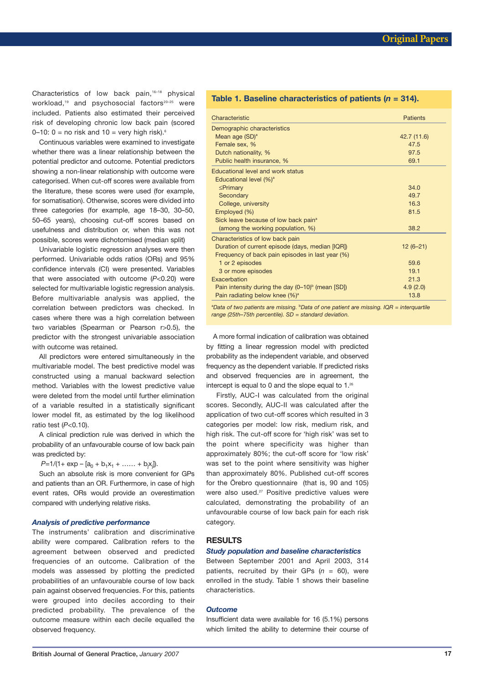Characteristics of low back pain,<sup>16-18</sup> physical workload,<sup>19</sup> and psychosocial factors<sup>20-25</sup> were included. Patients also estimated their perceived risk of developing chronic low back pain (scored 0-10:  $0 =$  no risk and  $10 =$  very high risk).<sup>6</sup>

Continuous variables were examined to investigate whether there was a linear relationship between the potential predictor and outcome. Potential predictors showing a non-linear relationship with outcome were categorised. When cut-off scores were available from the literature, these scores were used (for example, for somatisation). Otherwise, scores were divided into three categories (for example, age 18-30, 30-50, 50-65 years), choosing cut-off scores based on usefulness and distribution or, when this was not possible, scores were dichotomised (median split)

Univariable logistic regression analyses were then performed. Univariable odds ratios (ORs) and 95% confidence intervals (CI) were presented. Variables that were associated with outcome  $(P<0.20)$  were selected for multivariable logistic regression analysis. Before multivariable analysis was applied, the correlation between predictors was checked. In cases where there was a high correlation between two variables (Spearman or Pearson r>0.5), the predictor with the strongest univariable association with outcome was retained.

All predictors were entered simultaneously in the multivariable model. The best predictive model was constructed using a manual backward selection method. Variables with the lowest predictive value were deleted from the model until further elimination of a variable resulted in a statistically significant lower model fit, as estimated by the log likelihood ratio test  $(P<0.10)$ .

A clinical prediction rule was derived in which the probability of an unfavourable course of low back pain was predicted by:

 $P=1/(1+ \exp - [a_0 + b_1x_1 + \ldots + b_ix_i]).$ 

Such an absolute risk is more convenient for GPs and patients than an OR. Furthermore, in case of high event rates, ORs would provide an overestimation compared with underlying relative risks.

#### **Analysis of predictive performance**

The instruments' calibration and discriminative ability were compared. Calibration refers to the agreement between observed and predicted frequencies of an outcome. Calibration of the models was assessed by plotting the predicted probabilities of an unfavourable course of low back pain against observed frequencies. For this, patients were grouped into deciles according to their predicted probability. The prevalence of the outcome measure within each decile equalled the observed frequency.

## Table 1. Baseline characteristics of patients ( $n = 314$ ).

| Characteristic                                       | <b>Patients</b> |
|------------------------------------------------------|-----------------|
| Demographic characteristics                          |                 |
| Mean age (SD) <sup>a</sup>                           | 42.7 (11.6)     |
| Female sex, %                                        | 47.5            |
| Dutch nationality, %                                 | 97.5            |
| Public health insurance, %                           | 69.1            |
| Educational level and work status                    |                 |
| Educational level (%) <sup>a</sup>                   |                 |
| $\leq$ Primary                                       | 34.0            |
| Secondary                                            | 49.7            |
| College, university                                  | 16.3            |
| Employed (%)                                         | 81.5            |
| Sick leave because of low back pain <sup>a</sup>     |                 |
| (among the working population, %)                    | 38.2            |
| Characteristics of low back pain                     |                 |
| Duration of current episode (days, median [IQR])     | $12(6-21)$      |
| Frequency of back pain episodes in last year (%)     |                 |
| 1 or 2 episodes                                      | 59.6            |
| 3 or more episodes                                   | 19.1            |
| Exacerbation                                         | 21.3            |
| Pain intensity during the day $(0-10)^b$ (mean [SD]) | 4.9(2.0)        |
| Pain radiating below knee $(\%)^a$                   | 13.8            |

<sup>a</sup>Data of two patients are missing. <sup>b</sup>Data of one patient are missing. IQR = interguartile range (25th-75th percentile). SD = standard deviation.

A more formal indication of calibration was obtained by fitting a linear regression model with predicted probability as the independent variable, and observed frequency as the dependent variable. If predicted risks and observed frequencies are in agreement, the intercept is equal to 0 and the slope equal to 1.<sup>26</sup>

Firstly, AUC-I was calculated from the original scores. Secondly, AUC-II was calculated after the application of two cut-off scores which resulted in 3 categories per model: low risk, medium risk, and high risk. The cut-off score for 'high risk' was set to the point where specificity was higher than approximately 80%; the cut-off score for 'low risk' was set to the point where sensitivity was higher than approximately 80%. Published cut-off scores for the Örebro questionnaire (that is, 90 and 105) were also used.<sup>27</sup> Positive predictive values were calculated, demonstrating the probability of an unfavourable course of low back pain for each risk category.

#### **RESULTS**

#### **Study population and baseline characteristics**

Between September 2001 and April 2003, 314 patients, recruited by their GPs ( $n = 60$ ), were enrolled in the study. Table 1 shows their baseline characteristics

# **Outcome**

Insufficient data were available for 16 (5.1%) persons which limited the ability to determine their course of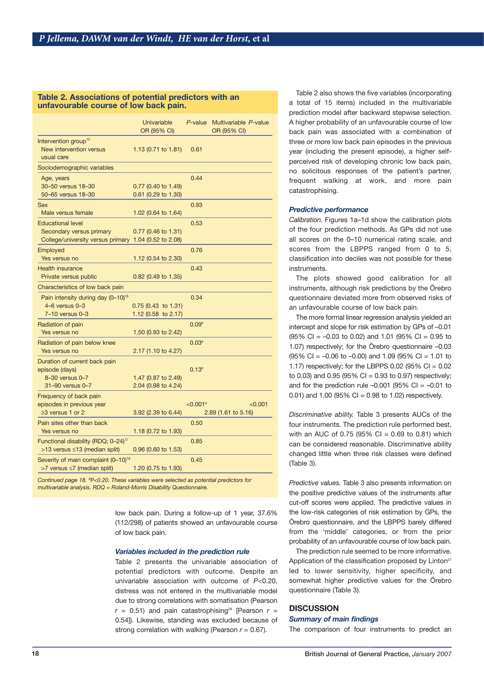## Table 2. Associations of potential predictors with an unfavourable course of low back pain.

| $<$ 0.001<br>2.89 (1.61 to 5.16) |
|----------------------------------|
|                                  |
|                                  |
|                                  |
|                                  |

Continued page 18.  $P<0.20$ . These variables were selected as potential predictors for multivariable analysis. RDQ = Roland-Morris Disability Questionnaire.

> low back pain. During a follow-up of 1 year, 37.6% (112/298) of patients showed an unfavourable course of low back pain.

# Variables included in the prediction rule

Table 2 presents the univariable association of potential predictors with outcome. Despite an univariable association with outcome of  $P<0.20$ , distress was not entered in the multivariable model due to strong correlations with somatisation (Pearson  $r = 0.51$ ) and pain catastrophising<sup>28</sup> [Pearson  $r =$ 0.54]). Likewise, standing was excluded because of strong correlation with walking (Pearson  $r = 0.67$ ).

Table 2 also shows the five variables (incorporating a total of 15 items) included in the multivariable prediction model after backward stepwise selection. A higher probability of an unfavourable course of low back pain was associated with a combination of three or more low back pain episodes in the previous year (including the present episode), a higher selfperceived risk of developing chronic low back pain, no solicitous responses of the patient's partner, frequent walking at work, and more pain catastrophising.

#### **Predictive performance**

Calibration. Figures 1a-1d show the calibration plots of the four prediction methods. As GPs did not use all scores on the 0-10 numerical rating scale, and scores from the LBPPS ranged from 0 to 5, classification into deciles was not possible for these instruments.

The plots showed good calibration for all instruments, although risk predictions by the Örebro questionnaire deviated more from observed risks of an unfavourable course of low back pain.

The more formal linear regression analysis yielded an intercept and slope for risk estimation by GPs of -0.01  $(95\% \text{ Cl} = -0.03 \text{ to } 0.02)$  and 1.01  $(95\% \text{ Cl} = 0.95 \text{ to } 0.02)$ 1.07) respectively; for the Örebro questionnaire -0.03  $(95\% \text{ Cl} = -0.06 \text{ to } -0.00)$  and 1.09 (95% Cl = 1.01 to 1.17) respectively; for the LBPPS 0.02 (95% CI =  $0.02$ to 0.03) and 0.95 (95% CI = 0.93 to 0.97) respectively; and for the prediction rule  $-0.001$  (95% CI =  $-0.01$  to 0.01) and 1.00 (95% CI = 0.98 to 1.02) respectively.

Discriminative ability. Table 3 presents AUCs of the four instruments. The prediction rule performed best, with an AUC of 0.75 (95% CI =  $0.69$  to 0.81) which can be considered reasonable. Discriminative ability changed little when three risk classes were defined (Table 3).

Predictive values. Table 3 also presents information on the positive predictive values of the instruments after cut-off scores were applied. The predictive values in the low-risk categories of risk estimation by GPs, the Örebro questionnaire, and the LBPPS barely differed from the 'middle' categories, or from the prior probability of an unfavourable course of low back pain.

The prediction rule seemed to be more informative. Application of the classification proposed by Linton<sup>27</sup> led to lower sensitivity, higher specificity, and somewhat higher predictive values for the Örebro questionnaire (Table 3).

# **DISCUSSION**

## **Summary of main findings**

The comparison of four instruments to predict an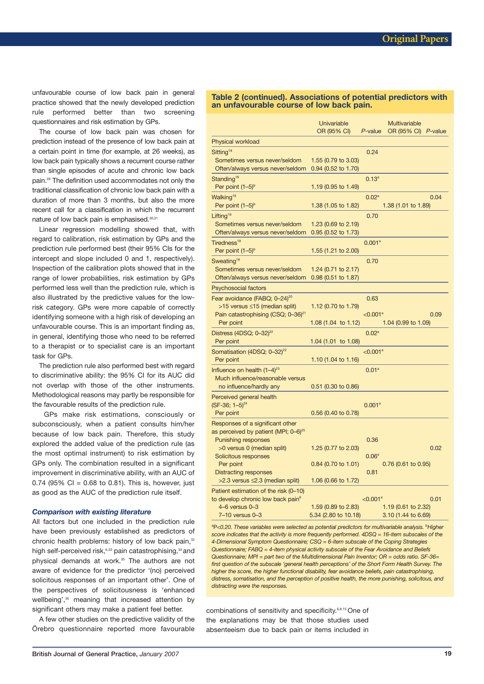unfavourable course of low back pain in general practice showed that the newly developed prediction rule performed better than two screening questionnaires and risk estimation by GPs.

The course of low back pain was chosen for prediction instead of the presence of low back pain at a certain point in time (for example, at 26 weeks), as low back pain typically shows a recurrent course rather than single episodes of acute and chronic low back pain.<sup>29</sup> The definition used accommodates not only the traditional classification of chronic low back pain with a duration of more than 3 months, but also the more recent call for a classification in which the recurrent nature of low back pain is emphasised.<sup>30,31</sup>

Linear regression modelling showed that, with regard to calibration, risk estimation by GPs and the prediction rule performed best (their 95% CIs for the intercept and slope included 0 and 1, respectively). Inspection of the calibration plots showed that in the range of lower probabilities, risk estimation by GPs performed less well than the prediction rule, which is also illustrated by the predictive values for the lowrisk category. GPs were more capable of correctly identifying someone with a high risk of developing an unfavourable course. This is an important finding as, in general, identifying those who need to be referred to a therapist or to specialist care is an important task for GPs.

The prediction rule also performed best with regard to discriminative ability: the 95% CI for its AUC did not overlap with those of the other instruments. Methodological reasons may partly be responsible for the favourable results of the prediction rule.

GPs make risk estimations, consciously or subconsciously, when a patient consults him/her because of low back pain. Therefore, this study explored the added value of the prediction rule (as the most optimal instrument) to risk estimation by GPs only. The combination resulted in a significant improvement in discriminative ability, with an AUC of 0.74 (95% CI =  $0.68$  to 0.81). This is, however, just as good as the AUC of the prediction rule itself.

#### **Comparison with existing literature**

All factors but one included in the prediction rule have been previously established as predictors of chronic health problems: history of low back pain,<sup>32</sup> high self-perceived risk,<sup>6,33</sup> pain catastrophising,<sup>34</sup> and physical demands at work.<sup>35</sup> The authors are not aware of evidence for the predictor '(no) perceived solicitous responses of an important other'. One of the perspectives of solicitousness is 'enhanced wellbeing',<sup>35</sup> meaning that increased attention by significant others may make a patient feel better.

A few other studies on the predictive validity of the Örebro questionnaire reported more favourable

#### Table 2 (continued). Associations of potential predictors with an unfavourable course of low back pain.

|                                                                                                                                    | Univariable<br>OR (95% CI)                   | P-value                      | Multivariable<br>OR (95% CI) P-value       |      |
|------------------------------------------------------------------------------------------------------------------------------------|----------------------------------------------|------------------------------|--------------------------------------------|------|
| Physical workload                                                                                                                  |                                              |                              |                                            |      |
| Sitting <sup>19</sup><br>Sometimes versus never/seldom<br>Often/always versus never/seldom                                         | 1.55 (0.79 to 3.03)<br>$0.94$ (0.52 to 1.70) | 0.24                         |                                            |      |
| Standing <sup>19</sup><br>Per point $(1-5)$ <sup>b</sup>                                                                           | 1.19 (0.95 to 1.49)                          | $0.13^{a}$                   |                                            |      |
| Walking <sup>19</sup><br>Per point $(1-5)^b$                                                                                       | 1.38 (1.05 to 1.82)                          | $0.02^{\rm a}$               | 1.38 (1.01 to 1.89)                        | 0.04 |
| Lifting <sup>19</sup><br>Sometimes versus never/seldom<br>Often/always versus never/seldom                                         | 1.23 (0.69 to 2.19)<br>0.95 (0.52 to 1.73)   | 0.70                         |                                            |      |
| Tiredness <sup>19</sup><br>Per point $(1-5)$ <sup>b</sup>                                                                          | 1.55 (1.21 to 2.00)                          | 0.001 <sup>a</sup>           |                                            |      |
| Sweating <sup>19</sup><br>Sometimes versus never/seldom<br>Often/always versus never/seldom                                        | 1.24 (0.71 to 2.17)<br>0.98 (0.51 to 1.87)   | 0.70                         |                                            |      |
| <b>Psychosocial factors</b>                                                                                                        |                                              |                              |                                            |      |
| Fear avoidance (FABQ; 0–24) <sup>20</sup><br>>15 versus $\leq$ 15 (median split)<br>Pain catastrophising (CSQ; 0-36) <sup>21</sup> | 1.12 (0.70 to 1.79)                          | 0.63<br>< 0.001 <sup>a</sup> |                                            | 0.09 |
| Per point                                                                                                                          | 1.08 (1.04 to 1.12)                          |                              | 1.04 (0.99 to 1.09)                        |      |
| Distress (4DSQ; $0 - 32$ ) <sup>22</sup><br>Per point                                                                              | 1.04 (1.01 to 1.08)                          | 0.02 <sup>a</sup>            |                                            |      |
| Somatisation (4DSQ; 0-32) <sup>22</sup><br>Per point                                                                               | 1.10 (1.04 to 1.16)                          | < 0.001 <sup>a</sup>         |                                            |      |
| Influence on health $(1-4)^{23}$<br>Much influence/reasonable versus<br>no influence/hardly any                                    | $0.51$ (0.30 to 0.86)                        | 0.01 <sup>a</sup>            |                                            |      |
| Perceived general health<br>$(SF-36; 1-5)^{24}$<br>Per point                                                                       | $0.56$ (0.40 to 0.78)                        | 0.001 <sup>a</sup>           |                                            |      |
| Responses of a significant other<br>as perceived by patient (MPI; 0–6) <sup>25</sup><br><b>Punishing responses</b>                 |                                              | 0.36                         |                                            |      |
| >0 versus 0 (median split)<br>Solicitous responses                                                                                 | 1.25 (0.77 to 2.03)                          | 0.06 <sup>a</sup>            |                                            | 0.02 |
| Per point<br><b>Distracting responses</b><br>$>2.3$ versus $\leq$ 2.3 (median split)                                               | $0.84$ (0.70 to 1.01)<br>1.06 (0.66 to 1.72) | 0.81                         | $0.76$ (0.61 to 0.95)                      |      |
| Patient estimation of the risk (0-10)<br>to develop chronic low back pain <sup>6</sup>                                             |                                              | < 0.001 <sup>a</sup>         |                                            | 0.01 |
| $4-6$ versus $0-3$<br>7-10 versus 0-3                                                                                              | 1.59 (0.89 to 2.83)<br>5.34 (2.80 to 10.18)  |                              | 1.19 (0.61 to 2.32)<br>3.10 (1.44 to 6.69) |      |

<sup>a</sup>P<0.20. These variables were selected as potential predictors for multivariable analysis. <sup>b</sup>Higher score indicates that the activity is more frequently performed. 4DSQ = 16-item subscales of the 4-Dimensional Symptom Questionnaire: CSQ = 6-item subscale of the Coping Strategies Questionnaire; FABQ = 4-item physical activity subscale of the Fear Avoidance and Beliefs Questionnaire; MPI = part two of the Multidimensional Pain Inventor; OR = odds ratio. SF-36= first question of the subscale 'general health perceptions' of the Short Form Health Survey. The higher the score, the higher functional disability, fear avoidance beliefs, pain catastrophising, distress, somatisation, and the perception of positive health, the more punishing, solicitous, and distracting were the responses.

combinations of sensitivity and specificity.<sup>6,8,15</sup> One of the explanations may be that those studies used absenteeism due to back pain or items included in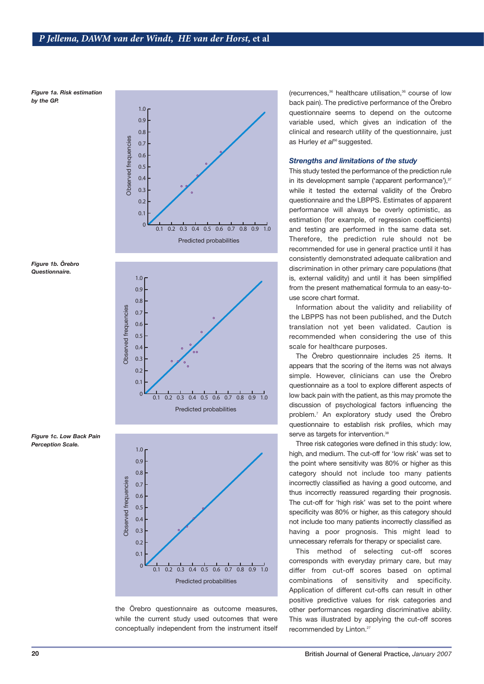Figure 1a. Risk estimation by the GP.



Figure 1b. Örebro Questionnaire.



Figure 1c. Low Back Pain **Perception Scale.** 



the Örebro questionnaire as outcome measures, while the current study used outcomes that were conceptually independent from the instrument itself (recurrences,<sup>36</sup> healthcare utilisation,<sup>36</sup> course of low back pain). The predictive performance of the Örebro questionnaire seems to depend on the outcome variable used, which gives an indication of the clinical and research utility of the questionnaire, just as Hurley et al<sup>36</sup> suggested.

# **Strengths and limitations of the study**

This study tested the performance of the prediction rule in its development sample ('apparent performance'),<sup>37</sup> while it tested the external validity of the Örebro questionnaire and the LBPPS. Estimates of apparent performance will always be overly optimistic, as estimation (for example, of regression coefficients) and testing are performed in the same data set. Therefore, the prediction rule should not be recommended for use in general practice until it has consistently demonstrated adequate calibration and discrimination in other primary care populations (that is, external validity) and until it has been simplified from the present mathematical formula to an easy-touse score chart format.

Information about the validity and reliability of the LBPPS has not been published, and the Dutch translation not yet been validated. Caution is recommended when considering the use of this scale for healthcare purposes.

The Örebro questionnaire includes 25 items. It appears that the scoring of the items was not always simple. However, clinicians can use the Örebro questionnaire as a tool to explore different aspects of low back pain with the patient, as this may promote the discussion of psychological factors influencing the problem.<sup>7</sup> An exploratory study used the Örebro questionnaire to establish risk profiles, which may serve as targets for intervention.<sup>38</sup>

Three risk categories were defined in this study: low, high, and medium. The cut-off for 'low risk' was set to the point where sensitivity was 80% or higher as this category should not include too many patients incorrectly classified as having a good outcome, and thus incorrectly reassured regarding their prognosis. The cut-off for 'high risk' was set to the point where specificity was 80% or higher, as this category should not include too many patients incorrectly classified as having a poor prognosis. This might lead to unnecessary referrals for therapy or specialist care.

This method of selecting cut-off scores corresponds with everyday primary care, but may differ from cut-off scores based on optimal combinations of sensitivity and specificity. Application of different cut-offs can result in other positive predictive values for risk categories and other performances regarding discriminative ability. This was illustrated by applying the cut-off scores recommended by Linton.<sup>27</sup>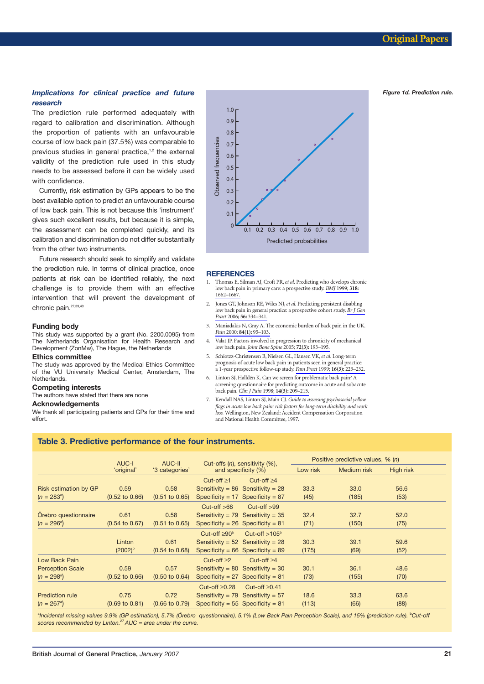Figure 1d. Prediction rule.

# Implications for clinical practice and future research

The prediction rule performed adequately with regard to calibration and discrimination. Although the proportion of patients with an unfavourable course of low back pain (37.5%) was comparable to previous studies in general practice,<sup>1,2</sup> the external validity of the prediction rule used in this study needs to be assessed before it can be widely used with confidence.

Currently, risk estimation by GPs appears to be the best available option to predict an unfavourable course of low back pain. This is not because this 'instrument' gives such excellent results, but because it is simple, the assessment can be completed quickly, and its calibration and discrimination do not differ substantially from the other two instruments.

Future research should seek to simplify and validate the prediction rule. In terms of clinical practice, once patients at risk can be identified reliably, the next challenge is to provide them with an effective intervention that will prevent the development of chronic pain.<sup>27,39,40</sup>

#### **Funding body**

This study was supported by a grant (No. 2200.0095) from The Netherlands Organisation for Health Research and Development (ZonMw), The Hague, the Netherlands

# **Ethics committee**

The study was approved by the Medical Ethics Committee of the VU University Medical Center, Amsterdam, The Netherlands.

#### **Competing interests**

The authors have stated that there are none

#### **Acknowledgements**

We thank all participating patients and GPs for their time and effort.



#### **REFERENCES**

- 1. Thomas E, Silman AJ, Croft PR, et al. Predicting who develops chronic low back pain in primary care: a prospective study. BMJ 1999; 318:  $1662 - 1667$
- $\mathcal{L}$ Jones GT, Johnson RE, Wiles NJ, et al. Predicting persistent disabling low back pain in general practice: a prospective cohort study. Br J Gen Pract 2006; 56: 334-341.
- 3. Maniadakis N, Gray A. The economic burden of back pain in the UK. Pain 2000; 84(1): 95-103.
- Valat JP. Factors involved in progression to chronicity of mechanical  $\overline{4}$ low back pain. Joint Bone Spine 2005; 72(3): 193-195.
- 5 Schiotzz-Christensen B. Nielsen GI Hansen VK et al Long-term prognosis of acute low back pain in patients seen in general practice: a 1-year prospective follow-up study. Fam Pract 1999; 16(3): 223-232.
- 6. Linton SJ, Halldén K. Can we screen for problematic back pain? A screening questionnaire for predicting outcome in acute and subacute back pain. Clin J Pain 1998; 14(3): 209-215.
- 7. Kendall NAS, Linton SJ, Main CJ. Guide to assessing psychosocial yellow flags in acute low back pain: risk factors for long-term disability and work loss. Wellington, New Zealand: Accident Compensation Corporation and National Health Committee, 1997.

## Table 3. Predictive performance of the four instruments.

|                             | AUC-I                     | AUC-II                    |                                                       |                                       | Positive predictive values, % (n) |           |      |
|-----------------------------|---------------------------|---------------------------|-------------------------------------------------------|---------------------------------------|-----------------------------------|-----------|------|
|                             | 'original'                | '3 categories'            | Cut-offs (n), sensitivity (%),<br>and specificity (%) | Low risk                              | Medium risk                       | High risk |      |
|                             |                           |                           | Cut-off $\geq 1$                                      | Cut-off $\geq 4$                      |                                   |           |      |
| Risk estimation by GP       | 0.59                      | 0.58                      |                                                       | Sensitivity = $86$ Sensitivity = $28$ | 33.3                              | 33.0      | 56.6 |
| $(n = 283^{\circ})$         | $(0.52 \text{ to } 0.66)$ | $(0.51 \text{ to } 0.65)$ |                                                       | Specificity = $17$ Specificity = 87   | (45)                              | (185)     | (53) |
|                             |                           |                           | $Cut-off > 68$                                        | $Cut-off > 99$                        |                                   |           |      |
| <b>Örebro questionnaire</b> | 0.61                      | 0.58                      |                                                       | Sensitivity = $79$ Sensitivity = $35$ | 32.4                              | 32.7      | 52.0 |
| $(n = 296^{\circ})$         | $(0.54 \text{ to } 0.67)$ | $(0.51 \text{ to } 0.65)$ |                                                       | Specificity = $26$ Specificity = $81$ | (71)                              | (150)     | (75) |
|                             |                           |                           | Cut-off $\geq 90^6$                                   | Cut-off $>105b$                       |                                   |           |      |
|                             | Linton                    | 0.61                      |                                                       | Sensitivity = $52$ Sensitivity = $28$ | 30.3                              | 39.1      | 59.6 |
|                             | $(2002)^{b}$              | $(0.54 \text{ to } 0.68)$ |                                                       | Specificity = $66$ Specificity = $89$ | (175)                             | (69)      | (52) |
| Low Back Pain               |                           |                           | Cut-off $\geq 2$                                      | Cut-off $\geq 4$                      |                                   |           |      |
| <b>Perception Scale</b>     | 0.59                      | 0.57                      |                                                       | Sensitivity = $80$ Sensitivity = $30$ | 30.1                              | 36.1      | 48.6 |
| $(n = 298^{\circ})$         | $(0.52 \text{ to } 0.66)$ | $(0.50 \text{ to } 0.64)$ |                                                       | Specificity = $27$ Specificity = 81   | (73)                              | (155)     | (70) |
|                             |                           |                           | Cut-off $\geq 0.28$                                   | Cut-off $\geq 0.41$                   |                                   |           |      |
| <b>Prediction rule</b>      | 0.75                      | 0.72                      |                                                       | Sensitivity = $79$ Sensitivity = $57$ | 18.6                              | 33.3      | 63.6 |
| $(n = 267^{\circ})$         | $(0.69 \text{ to } 0.81)$ | $(0.66 \text{ to } 0.79)$ |                                                       | Specificity = $55$ Specificity = $81$ | (113)                             | (66)      | (88) |

alncidental missing values 9.9% (GP estimation), 5.7% (Örebro questionnaire), 5.1% (Low Back Pain Perception Scale), and 15% (prediction rule). <sup>b</sup>Cut-off scores recommended by Linton.<sup>27</sup> AUC = area under the curve.